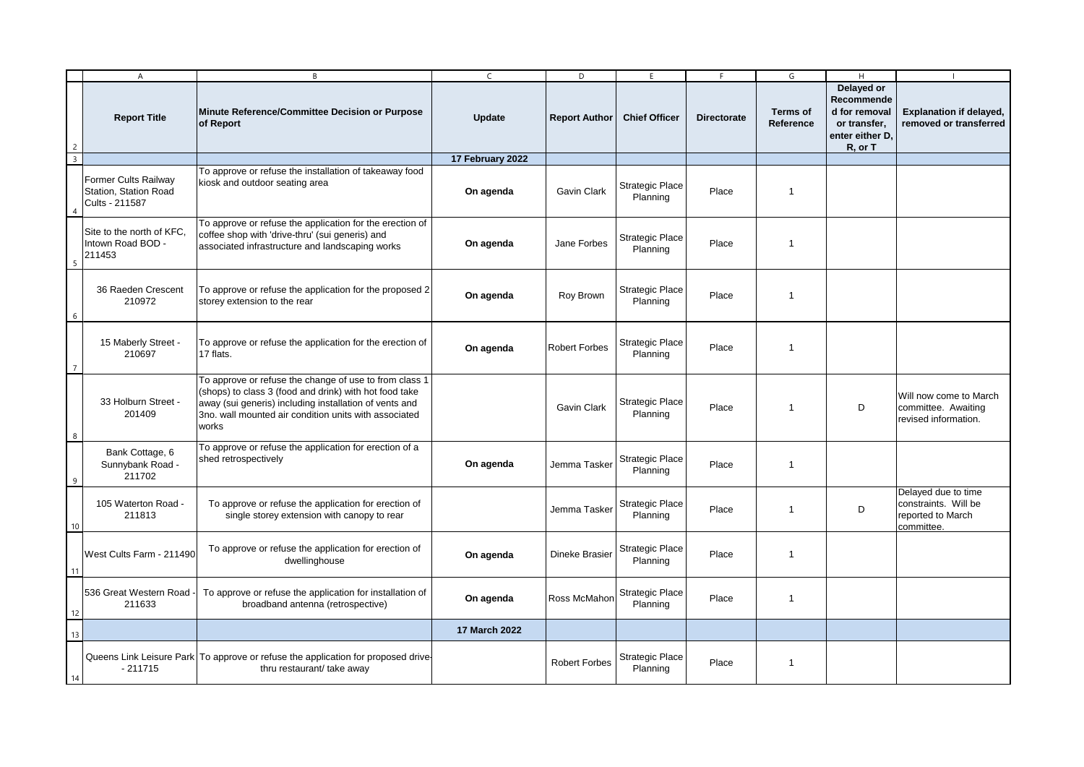|                | A                                                               | B                                                                                                                                                                                                                                            | C                | D                    | E                                  | F.                 | G                            | H                                                                                       |                                                                                |
|----------------|-----------------------------------------------------------------|----------------------------------------------------------------------------------------------------------------------------------------------------------------------------------------------------------------------------------------------|------------------|----------------------|------------------------------------|--------------------|------------------------------|-----------------------------------------------------------------------------------------|--------------------------------------------------------------------------------|
| $\overline{2}$ | <b>Report Title</b>                                             | Minute Reference/Committee Decision or Purpose<br>of Report                                                                                                                                                                                  | <b>Update</b>    | <b>Report Author</b> | <b>Chief Officer</b>               | <b>Directorate</b> | <b>Terms of</b><br>Reference | Delayed or<br>Recommende<br>d for removal<br>or transfer,<br>enter either D.<br>R, or T | <b>Explanation if delayed,</b><br>removed or transferred                       |
| 3              |                                                                 |                                                                                                                                                                                                                                              | 17 February 2022 |                      |                                    |                    |                              |                                                                                         |                                                                                |
|                | Former Cults Railway<br>Station, Station Road<br>Cults - 211587 | To approve or refuse the installation of takeaway food<br>kiosk and outdoor seating area                                                                                                                                                     | On agenda        | Gavin Clark          | <b>Strategic Place</b><br>Planning | Place              | $\overline{1}$               |                                                                                         |                                                                                |
|                | Site to the north of KFC,<br>Intown Road BOD -<br>211453        | To approve or refuse the application for the erection of<br>coffee shop with 'drive-thru' (sui generis) and<br>associated infrastructure and landscaping works                                                                               | On agenda        | Jane Forbes          | <b>Strategic Place</b><br>Planning | Place              | $\overline{1}$               |                                                                                         |                                                                                |
| 6              | 36 Raeden Crescent<br>210972                                    | To approve or refuse the application for the proposed 2<br>storey extension to the rear                                                                                                                                                      | On agenda        | Roy Brown            | Strategic Place<br>Planning        | Place              | $\overline{1}$               |                                                                                         |                                                                                |
|                | 15 Maberly Street -<br>210697                                   | To approve or refuse the application for the erection of<br>17 flats.                                                                                                                                                                        | On agenda        | <b>Robert Forbes</b> | <b>Strategic Place</b><br>Planning | Place              | $\overline{1}$               |                                                                                         |                                                                                |
| 8              | 33 Holburn Street -<br>201409                                   | To approve or refuse the change of use to from class 1<br>(shops) to class 3 (food and drink) with hot food take<br>away (sui generis) including installation of vents and<br>3no. wall mounted air condition units with associated<br>works |                  | Gavin Clark          | <b>Strategic Place</b><br>Planning | Place              | $\overline{1}$               | D                                                                                       | Will now come to March<br>committee. Awaiting<br>revised information.          |
| $\mathsf{q}$   | Bank Cottage, 6<br>Sunnybank Road -<br>211702                   | To approve or refuse the application for erection of a<br>shed retrospectively                                                                                                                                                               | On agenda        | Jemma Tasker         | <b>Strategic Place</b><br>Planning | Place              | $\overline{1}$               |                                                                                         |                                                                                |
| 10             | 105 Waterton Road -<br>211813                                   | To approve or refuse the application for erection of<br>single storey extension with canopy to rear                                                                                                                                          |                  | Jemma Tasker         | <b>Strategic Place</b><br>Planning | Place              | $\overline{1}$               | D                                                                                       | Delayed due to time<br>constraints. Will be<br>reported to March<br>committee. |
| 11             | West Cults Farm - 211490                                        | To approve or refuse the application for erection of<br>dwellinghouse                                                                                                                                                                        | On agenda        | Dineke Brasier       | <b>Strategic Place</b><br>Planning | Place              | $\overline{1}$               |                                                                                         |                                                                                |
| 12             | 536 Great Western Road<br>211633                                | To approve or refuse the application for installation of<br>broadband antenna (retrospective)                                                                                                                                                | On agenda        | Ross McMahon         | <b>Strategic Place</b><br>Planning | Place              | $\mathbf 1$                  |                                                                                         |                                                                                |
| 13             |                                                                 |                                                                                                                                                                                                                                              | 17 March 2022    |                      |                                    |                    |                              |                                                                                         |                                                                                |
| 14             | $-211715$                                                       | Queens Link Leisure Park   To approve or refuse the application for proposed drive-<br>thru restaurant/ take away                                                                                                                            |                  | <b>Robert Forbes</b> | Strategic Place<br>Planning        | Place              | -1                           |                                                                                         |                                                                                |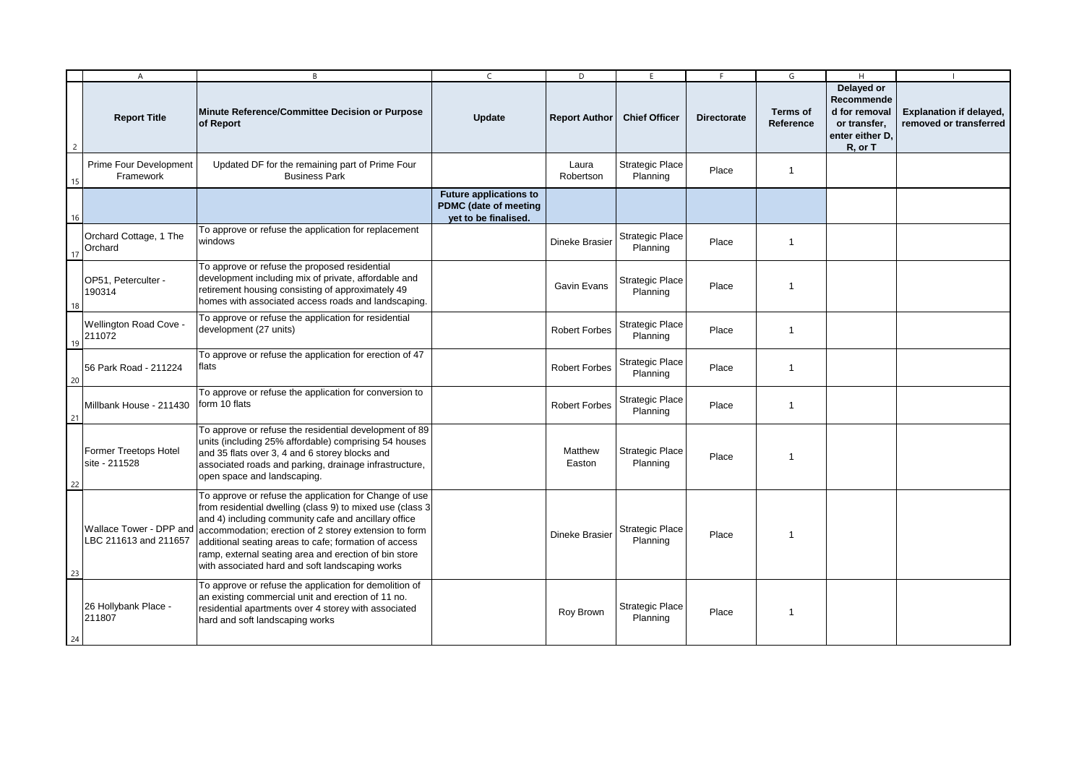|                | $\overline{A}$                                   | B                                                                                                                                                                                                                                                                                                                                                                                                          | $\mathsf{C}$                                                                   | D                     | E.                                 | F                  | G                            | H                                                                                       |                                                          |
|----------------|--------------------------------------------------|------------------------------------------------------------------------------------------------------------------------------------------------------------------------------------------------------------------------------------------------------------------------------------------------------------------------------------------------------------------------------------------------------------|--------------------------------------------------------------------------------|-----------------------|------------------------------------|--------------------|------------------------------|-----------------------------------------------------------------------------------------|----------------------------------------------------------|
| $\overline{c}$ | <b>Report Title</b>                              | Minute Reference/Committee Decision or Purpose<br>of Report                                                                                                                                                                                                                                                                                                                                                | Update                                                                         | <b>Report Author</b>  | <b>Chief Officer</b>               | <b>Directorate</b> | <b>Terms of</b><br>Reference | Delayed or<br>Recommende<br>d for removal<br>or transfer,<br>enter either D.<br>R, or T | <b>Explanation if delayed,</b><br>removed or transferred |
| 15             | Prime Four Development<br>Framework              | Updated DF for the remaining part of Prime Four<br><b>Business Park</b>                                                                                                                                                                                                                                                                                                                                    |                                                                                | Laura<br>Robertson    | Strategic Place<br>Planning        | Place              | $\mathbf{1}$                 |                                                                                         |                                                          |
| 16             |                                                  |                                                                                                                                                                                                                                                                                                                                                                                                            | <b>Future applications to</b><br>PDMC (date of meeting<br>yet to be finalised. |                       |                                    |                    |                              |                                                                                         |                                                          |
| 17             | Orchard Cottage, 1 The<br>Orchard                | To approve or refuse the application for replacement<br>windows                                                                                                                                                                                                                                                                                                                                            |                                                                                | <b>Dineke Brasier</b> | <b>Strategic Place</b><br>Planning | Place              | $\mathbf{1}$                 |                                                                                         |                                                          |
| 18             | OP51. Peterculter -<br>190314                    | To approve or refuse the proposed residential<br>development including mix of private, affordable and<br>retirement housing consisting of approximately 49<br>homes with associated access roads and landscaping.                                                                                                                                                                                          |                                                                                | Gavin Evans           | <b>Strategic Place</b><br>Planning | Place              | -1                           |                                                                                         |                                                          |
| 19             | Wellington Road Cove -<br>211072                 | To approve or refuse the application for residential<br>development (27 units)                                                                                                                                                                                                                                                                                                                             |                                                                                | <b>Robert Forbes</b>  | Strategic Place<br>Planning        | Place              | $\overline{1}$               |                                                                                         |                                                          |
| 20             | 56 Park Road - 211224                            | To approve or refuse the application for erection of 47<br>flats                                                                                                                                                                                                                                                                                                                                           |                                                                                | <b>Robert Forbes</b>  | Strategic Place<br>Planning        | Place              | 1                            |                                                                                         |                                                          |
| 21             | Millbank House - 211430                          | To approve or refuse the application for conversion to<br>form 10 flats                                                                                                                                                                                                                                                                                                                                    |                                                                                | <b>Robert Forbes</b>  | Strategic Place<br>Planning        | Place              | $\mathbf{1}$                 |                                                                                         |                                                          |
| 22             | <b>Former Treetops Hotel</b><br>site - 211528    | To approve or refuse the residential development of 89<br>units (including 25% affordable) comprising 54 houses<br>and 35 flats over 3, 4 and 6 storey blocks and<br>associated roads and parking, drainage infrastructure,<br>open space and landscaping.                                                                                                                                                 |                                                                                | Matthew<br>Easton     | <b>Strategic Place</b><br>Planning | Place              | $\mathbf 1$                  |                                                                                         |                                                          |
| 23             | Wallace Tower - DPP and<br>LBC 211613 and 211657 | To approve or refuse the application for Change of use<br>from residential dwelling (class 9) to mixed use (class 3)<br>and 4) including community cafe and ancillary office<br>accommodation; erection of 2 storey extension to form<br>additional seating areas to cafe; formation of access<br>ramp, external seating area and erection of bin store<br>with associated hard and soft landscaping works |                                                                                | Dineke Brasier        | <b>Strategic Place</b><br>Planning | Place              | -1                           |                                                                                         |                                                          |
| 24             | 26 Hollybank Place -<br>211807                   | To approve or refuse the application for demolition of<br>an existing commercial unit and erection of 11 no.<br>residential apartments over 4 storey with associated<br>hard and soft landscaping works                                                                                                                                                                                                    |                                                                                | Roy Brown             | <b>Strategic Place</b><br>Planning | Place              |                              |                                                                                         |                                                          |